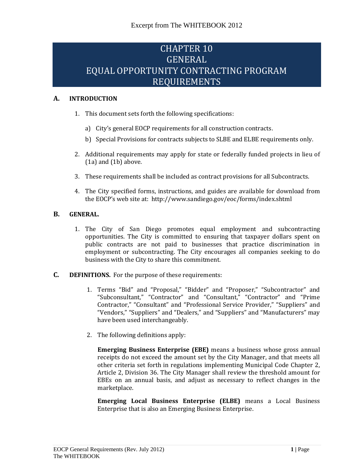# CHAPTER 10 GENERAL EQUAL OPPORTUNITY CONTRACTING PROGRAM REQUIREMENTS

# **A. INTRODUCTION**

- 1. This document sets forth the following specifications:
	- a) City's general EOCP requirements for all construction contracts.
	- b) Special Provisions for contracts subjects to SLBE and ELBE requirements only.
- 2. Additional requirements may apply for state or federally funded projects in lieu of (1a) and (1b) above.
- 3. These requirements shall be included as contract provisions for all Subcontracts.
- 4. The City specified forms, instructions, and guides are available for download from the EOCP's web site at: <http://www.sandiego.gov/eoc/forms/index.shtml>

# **B. GENERAL.**

- 1. The City of San Diego promotes equal employment and subcontracting opportunities. The City is committed to ensuring that taxpayer dollars spent on public contracts are not paid to businesses that practice discrimination in employment or subcontracting. The City encourages all companies seeking to do business with the City to share this commitment.
- **C. DEFINITIONS.** For the purpose of these requirements:
	- 1. Terms "Bid" and "Proposal," "Bidder" and "Proposer," "Subcontractor" and "Subconsultant," "Contractor" and "Consultant," "Contractor" and "Prime Contractor," "Consultant" and "Professional Service Provider," "Suppliers" and "Vendors," "Suppliers" and "Dealers," and "Suppliers" and "Manufacturers" may have been used interchangeably.
	- 2. The following definitions apply:

**Emerging Business Enterprise (EBE)** means a business whose gross annual receipts do not exceed the amount set by the City Manager, and that meets all other criteria set forth in regulations implementing Municipal Code Chapter 2, Article 2, Division 36. The City Manager shall review the threshold amount for EBEs on an annual basis, and adjust as necessary to reflect changes in the marketplace.

**Emerging Local Business Enterprise (ELBE)** means a Local Business Enterprise that is also an Emerging Business Enterprise.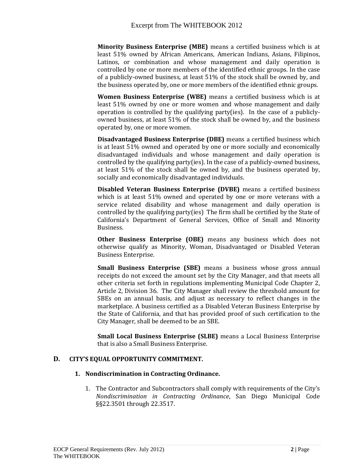**Minority Business Enterprise (MBE)** means a certified business which is at least 51% owned by African Americans, American Indians, Asians, Filipinos, Latinos, or combination and whose management and daily operation is controlled by one or more members of the identified ethnic groups. In the case of a publicly-owned business, at least 51% of the stock shall be owned by, and the business operated by, one or more members of the identified ethnic groups.

**Women Business Enterprise (WBE)** means a certified business which is at least 51% owned by one or more women and whose management and daily operation is controlled by the qualifying party(ies). In the case of a publiclyowned business, at least 51% of the stock shall be owned by, and the business operated by, one or more women.

**Disadvantaged Business Enterprise (DBE)** means a certified business which is at least 51% owned and operated by one or more socially and economically disadvantaged individuals and whose management and daily operation is controlled by the qualifying party(ies). In the case of a publicly-owned business, at least 51% of the stock shall be owned by, and the business operated by, socially and economically disadvantaged individuals.

**Disabled Veteran Business Enterprise (DVBE)** means a certified business which is at least 51% owned and operated by one or more veterans with a service related disability and whose management and daily operation is controlled by the qualifying party(ies) The firm shall be certified by the State of California's Department of General Services, Office of Small and Minority Business.

**Other Business Enterprise (OBE)** means any business which does not otherwise qualify as Minority, Woman, Disadvantaged or Disabled Veteran Business Enterprise.

**Small Business Enterprise (SBE)** means a business whose gross annual receipts do not exceed the amount set by the City Manager, and that meets all other criteria set forth in regulations implementing Municipal Code Chapter 2, Article 2, Division 36. The City Manager shall review the threshold amount for SBEs on an annual basis, and adjust as necessary to reflect changes in the marketplace. A business certified as a Disabled Veteran Business Enterprise by the State of California, and that has provided proof of such certification to the City Manager, shall be deemed to be an SBE.

**Small Local Business Enterprise (SLBE)** means a Local Business Enterprise that is also a Small Business Enterprise.

# **D. CITY'S EQUAL OPPORTUNITY COMMITMENT.**

# **1. Nondiscrimination in Contracting Ordinance.**

1. The Contractor and Subcontractors shall comply with requirements of the City's *Nondiscrimination in Contracting Ordinance*, San Diego Municipal Code §§22.3501 through 22.3517.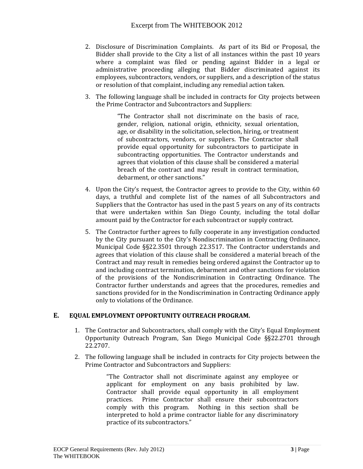- 2. Disclosure of Discrimination Complaints. As part of its Bid or Proposal, the Bidder shall provide to the City a list of all instances within the past 10 years where a complaint was filed or pending against Bidder in a legal or administrative proceeding alleging that Bidder discriminated against its employees, subcontractors, vendors, or suppliers, and a description of the status or resolution of that complaint, including any remedial action taken.
- 3. The following language shall be included in contracts for City projects between the Prime Contractor and Subcontractors and Suppliers:

"The Contractor shall not discriminate on the basis of race, gender, religion, national origin, ethnicity, sexual orientation, age, or disability in the solicitation, selection, hiring, or treatment of subcontractors, vendors, or suppliers. The Contractor shall provide equal opportunity for subcontractors to participate in subcontracting opportunities. The Contractor understands and agrees that violation of this clause shall be considered a material breach of the contract and may result in contract termination, debarment, or other sanctions."

- 4. Upon the City's request, the Contractor agrees to provide to the City, within 60 days, a truthful and complete list of the names of all Subcontractors and Suppliers that the Contractor has used in the past 5 years on any of its contracts that were undertaken within San Diego County, including the total dollar amount paid by the Contractor for each subcontract or supply contract.
- 5. The Contractor further agrees to fully cooperate in any investigation conducted by the City pursuant to the City's Nondiscrimination in Contracting Ordinance, Municipal Code §§22.3501 through 22.3517. The Contractor understands and agrees that violation of this clause shall be considered a material breach of the Contract and may result in remedies being ordered against the Contractor up to and including contract termination, debarment and other sanctions for violation of the provisions of the Nondiscrimination in Contracting Ordinance. The Contractor further understands and agrees that the procedures, remedies and sanctions provided for in the Nondiscrimination in Contracting Ordinance apply only to violations of the Ordinance.

# **E. EQUAL EMPLOYMENT OPPORTUNITY OUTREACH PROGRAM.**

- 1. The Contractor and Subcontractors, shall comply with the City's Equal Employment Opportunity Outreach Program, San Diego Municipal Code §§22.2701 through 22.2707.
- 2. The following language shall be included in contracts for City projects between the Prime Contractor and Subcontractors and Suppliers:

"The Contractor shall not discriminate against any employee or applicant for employment on any basis prohibited by law. Contractor shall provide equal opportunity in all employment practices. Prime Contractor shall ensure their subcontractors comply with this program. Nothing in this section shall be interpreted to hold a prime contractor liable for any discriminatory practice of its subcontractors."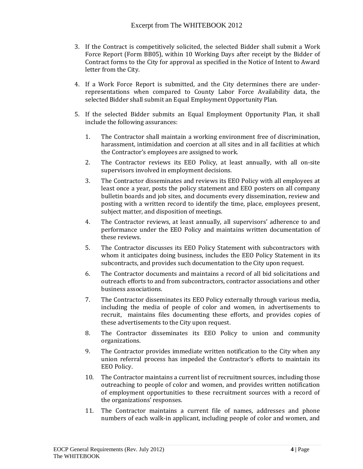- 3. If the Contract is competitively solicited, the selected Bidder shall submit a Work Force Report (Form BB05), within 10 Working Days after receipt by the Bidder of Contract forms to the City for approval as specified in the Notice of Intent to Award letter from the City.
- 4. If a Work Force Report is submitted, and the City determines there are underrepresentations when compared to County Labor Force Availability data, the selected Bidder shall submit an Equal Employment Opportunity Plan.
- 5. If the selected Bidder submits an Equal Employment Opportunity Plan, it shall include the following assurances:
	- 1. The Contractor shall maintain a working environment free of discrimination, harassment, intimidation and coercion at all sites and in all facilities at which the Contractor's employees are assigned to work.
	- 2. The Contractor reviews its EEO Policy, at least annually, with all on-site supervisors involved in employment decisions.
	- 3. The Contractor disseminates and reviews its EEO Policy with all employees at least once a year, posts the policy statement and EEO posters on all company bulletin boards and job sites, and documents every dissemination, review and posting with a written record to identify the time, place, employees present, subject matter, and disposition of meetings.
	- 4. The Contractor reviews, at least annually, all supervisors' adherence to and performance under the EEO Policy and maintains written documentation of these reviews.
	- 5. The Contractor discusses its EEO Policy Statement with subcontractors with whom it anticipates doing business, includes the EEO Policy Statement in its subcontracts, and provides such documentation to the City upon request.
	- 6. The Contractor documents and maintains a record of all bid solicitations and outreach efforts to and from subcontractors, contractor associations and other business associations.
	- 7. The Contractor disseminates its EEO Policy externally through various media, including the media of people of color and women, in advertisements to recruit, maintains files documenting these efforts, and provides copies of these advertisements to the City upon request.
	- 8. The Contractor disseminates its EEO Policy to union and community organizations.
	- 9. The Contractor provides immediate written notification to the City when any union referral process has impeded the Contractor's efforts to maintain its EEO Policy.
	- 10. The Contractor maintains a current list of recruitment sources, including those outreaching to people of color and women, and provides written notification of employment opportunities to these recruitment sources with a record of the organizations' responses.
	- 11. The Contractor maintains a current file of names, addresses and phone numbers of each walk-in applicant, including people of color and women, and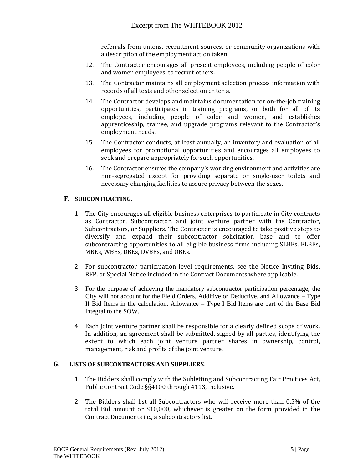referrals from unions, recruitment sources, or community organizations with a description of the employment action taken.

- 12. The Contractor encourages all present employees, including people of color and women employees, to recruit others.
- 13. The Contractor maintains all employment selection process information with records of all tests and other selection criteria.
- 14. The Contractor develops and maintains documentation for on-the-job training opportunities, participates in training programs, or both for all of its employees, including people of color and women, and establishes apprenticeship, trainee, and upgrade programs relevant to the Contractor's employment needs.
- 15. The Contractor conducts, at least annually, an inventory and evaluation of all employees for promotional opportunities and encourages all employees to seek and prepare appropriately for such opportunities.
- 16. The Contractor ensures the company's working environment and activities are non-segregated except for providing separate or single-user toilets and necessary changing facilities to assure privacy between the sexes.

# **F. SUBCONTRACTING.**

- 1. The City encourages all eligible business enterprises to participate in City contracts as Contractor, Subcontractor, and joint venture partner with the Contractor, Subcontractors, or Suppliers. The Contractor is encouraged to take positive steps to diversify and expand their subcontractor solicitation base and to offer subcontracting opportunities to all eligible business firms including SLBEs, ELBEs, MBEs, WBEs, DBEs, DVBEs, and OBEs.
- 2. For subcontractor participation level requirements, see the Notice Inviting Bids, RFP, or Special Notice included in the Contract Documents where applicable.
- 3. For the purpose of achieving the mandatory subcontractor participation percentage, the City will not account for the Field Orders, Additive or Deductive, and Allowance – Type II Bid Items in the calculation. Allowance – Type I Bid Items are part of the Base Bid integral to the SOW.
- 4. Each joint venture partner shall be responsible for a clearly defined scope of work. In addition, an agreement shall be submitted, signed by all parties, identifying the extent to which each joint venture partner shares in ownership, control, management, risk and profits of the joint venture.

# **G. LISTS OF SUBCONTRACTORS AND SUPPLIERS.**

- 1. The Bidders shall comply with the Subletting and Subcontracting Fair Practices Act, Public Contract Code §§4100 through 4113, inclusive.
- 2. The Bidders shall list all Subcontractors who will receive more than 0.5% of the total Bid amount or \$10,000, whichever is greater on the form provided in the Contract Documents i.e., a subcontractors list.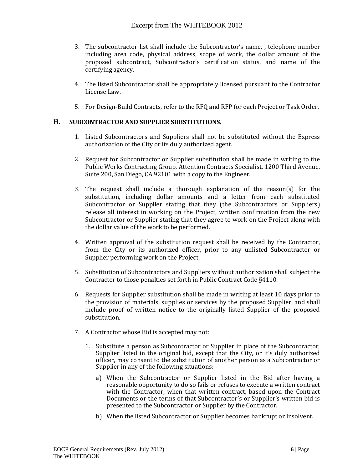- 3. The subcontractor list shall include the Subcontractor's name, , telephone number including area code, physical address, scope of work, the dollar amount of the proposed subcontract, Subcontractor's certification status, and name of the certifying agency.
- 4. The listed Subcontractor shall be appropriately licensed pursuant to the Contractor License Law.
- 5. For Design-Build Contracts, refer to the RFQ and RFP for each Project or Task Order.

# **H. SUBCONTRACTOR AND SUPPLIER SUBSTITUTIONS.**

- 1. Listed Subcontractors and Suppliers shall not be substituted without the Express authorization of the City or its duly authorized agent.
- 2. Request for Subcontractor or Supplier substitution shall be made in writing to the Public Works Contracting Group, Attention Contracts Specialist, 1200 Third Avenue, Suite 200, San Diego, CA 92101 with a copy to the Engineer.
- 3. The request shall include a thorough explanation of the reason(s) for the substitution, including dollar amounts and a letter from each substituted Subcontractor or Supplier stating that they (the Subcontractors or Suppliers) release all interest in working on the Project, written confirmation from the new Subcontractor or Supplier stating that they agree to work on the Project along with the dollar value of the work to be performed.
- 4. Written approval of the substitution request shall be received by the Contractor, from the City or its authorized officer, prior to any unlisted Subcontractor or Supplier performing work on the Project.
- 5. Substitution of Subcontractors and Suppliers without authorization shall subject the Contractor to those penalties set forth in Public Contract Code §4110.
- 6. Requests for Supplier substitution shall be made in writing at least 10 days prior to the provision of materials, supplies or services by the proposed Supplier, and shall include proof of written notice to the originally listed Supplier of the proposed substitution.
- 7. A Contractor whose Bid is accepted may not:
	- 1. Substitute a person as Subcontractor or Supplier in place of the Subcontractor, Supplier listed in the original bid, except that the City, or it's duly authorized officer, may consent to the substitution of another person as a Subcontractor or Supplier in any of the following situations:
		- a) When the Subcontractor or Supplier listed in the Bid after having a reasonable opportunity to do so fails or refuses to execute a written contract with the Contractor, when that written contract, based upon the Contract Documents or the terms of that Subcontractor's or Supplier's written bid is presented to the Subcontractor or Supplier by the Contractor.
		- b) When the listed Subcontractor or Supplier becomes bankrupt or insolvent.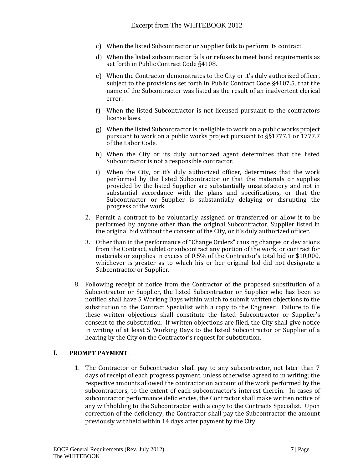- c) When the listed Subcontractor or Supplier fails to perform its contract.
- d) When the listed subcontractor fails or refuses to meet bond requirements as set forth in Public Contract Code §4108.
- e) When the Contractor demonstrates to the City or it's duly authorized officer, subject to the provisions set forth in Public Contract Code §4107.5, that the name of the Subcontractor was listed as the result of an inadvertent clerical error.
- f) When the listed Subcontractor is not licensed pursuant to the contractors license laws.
- g) When the listed Subcontractor is ineligible to work on a public works project pursuant to work on a public works project pursuant to §§1777.1 or 1777.7 of the Labor Code.
- h) When the City or its duly authorized agent determines that the listed Subcontractor is not a responsible contractor.
- i) When the City, or it's duly authorized officer, determines that the work performed by the listed Subcontractor or that the materials or supplies provided by the listed Supplier are substantially unsatisfactory and not in substantial accordance with the plans and specifications, or that the Subcontractor or Supplier is substantially delaying or disrupting the progress of the work.
- 2. Permit a contract to be voluntarily assigned or transferred or allow it to be performed by anyone other than the original Subcontractor, Supplier listed in the original bid without the consent of the City, or it's duly authorized officer.
- 3. Other than in the performance of "Change Orders" causing changes or deviations from the Contract, sublet or subcontract any portion of the work, or contract for materials or supplies in excess of 0.5% of the Contractor's total bid or \$10,000, whichever is greater as to which his or her original bid did not designate a Subcontractor or Supplier.
- 8. Following receipt of notice from the Contractor of the proposed substitution of a Subcontractor or Supplier, the listed Subcontractor or Supplier who has been so notified shall have 5 Working Days within which to submit written objections to the substitution to the Contract Specialist with a copy to the Engineer. Failure to file these written objections shall constitute the listed Subcontractor or Supplier's consent to the substitution. If written objections are filed, the City shall give notice in writing of at least 5 Working Days to the listed Subcontractor or Supplier of a hearing by the City on the Contractor's request for substitution.

# **I. PROMPT PAYMENT**.

1. The Contractor or Subcontractor shall pay to any subcontractor, not later than 7 days of receipt of each progress payment, unless otherwise agreed to in writing; the respective amounts allowed the contractor on account of the work performed by the subcontractors, to the extent of each subcontractor's interest therein. In cases of subcontractor performance deficiencies, the Contractor shall make written notice of any withholding to the Subcontractor with a copy to the Contracts Specialist. Upon correction of the deficiency, the Contractor shall pay the Subcontractor the amount previously withheld within 14 days after payment by the City.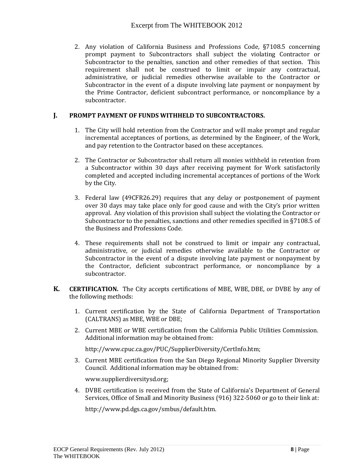2. Any violation of California Business and Professions Code, §7108.5 concerning prompt payment to Subcontractors shall subject the violating Contractor or Subcontractor to the penalties, sanction and other remedies of that section. This requirement shall not be construed to limit or impair any contractual, administrative, or judicial remedies otherwise available to the Contractor or Subcontractor in the event of a dispute involving late payment or nonpayment by the Prime Contractor, deficient subcontract performance, or noncompliance by a subcontractor.

# **J. PROMPT PAYMENT OF FUNDS WITHHELD TO SUBCONTRACTORS.**

- 1. The City will hold retention from the Contractor and will make prompt and regular incremental acceptances of portions, as determined by the Engineer, of the Work, and pay retention to the Contractor based on these acceptances.
- 2. The Contractor or Subcontractor shall return all monies withheld in retention from a Subcontractor within 30 days after receiving payment for Work satisfactorily completed and accepted including incremental acceptances of portions of the Work by the City.
- 3. Federal law (49CFR26.29) requires that any delay or postponement of payment over 30 days may take place only for good cause and with the City's prior written approval. Any violation of this provision shall subject the violating the Contractor or Subcontractor to the penalties, sanctions and other remedies specified in §7108.5 of the Business and Professions Code.
- 4. These requirements shall not be construed to limit or impair any contractual, administrative, or judicial remedies otherwise available to the Contractor or Subcontractor in the event of a dispute involving late payment or nonpayment by the Contractor, deficient subcontract performance, or noncompliance by a subcontractor.
- **K. CERTIFICATION.** The City accepts certifications of MBE, WBE, DBE, or DVBE by any of the following methods:
	- 1. Current certification by the State of California Department of Transportation (CALTRANS) as MBE, WBE or DBE;
	- 2. Current MBE or WBE certification from the California Public Utilities Commission. Additional information may be obtained from:

[http://www.cpuc.ca.gov/PUC/SupplierDiversity/CertInfo.htm;](http://www.cpuc.ca.gov/PUC/SupplierDiversity/CertInfo.htm)

3. Current MBE certification from the San Diego Regional Minority Supplier Diversity Council. Additional information may be obtained from:

[www.supplierdiversitysd.org;](http://www.supplierdiversitysd.org/)

4. DVBE certification is received from the State of California's Department of General Services, Office of Small and Minority Business (916) 322-5060 or go to their link at:

[http://www.pd.dgs.ca.gov/smbus/default.htm.](http://www.pd.dgs.ca.gov/smbus/default.htm)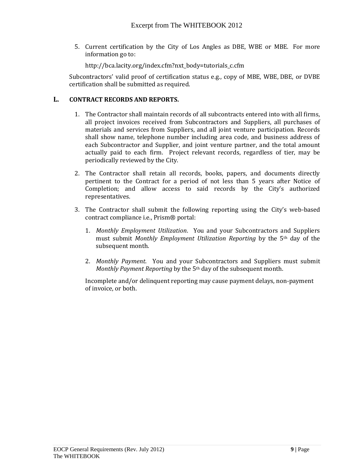5. Current certification by the City of Los Angles as DBE, WBE or MBE. For more information go to:

[http://bca.lacity.org/index.cfm?nxt\\_body=tutorials\\_c.cfm](http://bca.lacity.org/index.cfm?nxt_body=tutorials_c.cfm)

Subcontractors' valid proof of certification status e.g., copy of MBE, WBE, DBE, or DVBE certification shall be submitted as required.

# **L. CONTRACT RECORDS AND REPORTS.**

- 1. The Contractor shall maintain records of all subcontracts entered into with all firms, all project invoices received from Subcontractors and Suppliers, all purchases of materials and services from Suppliers, and all joint venture participation. Records shall show name, telephone number including area code, and business address of each Subcontractor and Supplier, and joint venture partner, and the total amount actually paid to each firm. Project relevant records, regardless of tier, may be periodically reviewed by the City.
- 2. The Contractor shall retain all records, books, papers, and documents directly pertinent to the Contract for a period of not less than 5 years after Notice of Completion; and allow access to said records by the City's authorized representatives.
- 3. The Contractor shall submit the following reporting using the City's web-based contract compliance i.e., Prism® portal:
	- 1. *Monthly Employment Utilization*. You and your Subcontractors and Suppliers must submit *Monthly Employment Utilization Reporting* by the 5th day of the subsequent month.
	- 2. *Monthly Payment*. You and your Subcontractors and Suppliers must submit *Monthly Payment Reporting* by the 5<sup>th</sup> day of the subsequent month.

Incomplete and/or delinquent reporting may cause payment delays, non-payment of invoice, or both.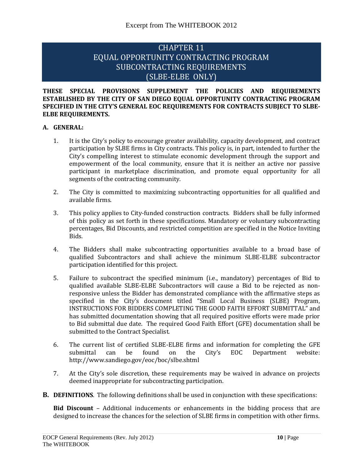# CHAPTER 11 EQUAL OPPORTUNITY CONTRACTING PROGRAM SUBCONTRACTING REQUIREMENTS (SLBE-ELBE ONLY)

#### **THESE SPECIAL PROVISIONS SUPPLEMENT THE POLICIES AND REQUIREMENTS ESTABLISHED BY THE CITY OF SAN DIEGO EQUAL OPPORTUNITY CONTRACTING PROGRAM SPECIFIED IN THE CITY'S GENERAL EOC REQUIREMENTS FOR CONTRACTS SUBJECT TO SLBE-ELBE REQUIREMENTS.**

# **A. GENERAL:**

- 1. It is the City's policy to encourage greater availability, capacity development, and contract participation by SLBE firms in City contracts. This policy is, in part, intended to further the City's compelling interest to stimulate economic development through the support and empowerment of the local community, ensure that it is neither an active nor passive participant in marketplace discrimination, and promote equal opportunity for all segments of the contracting community.
- 2. The City is committed to maximizing subcontracting opportunities for all qualified and available firms.
- 3. This policy applies to City-funded construction contracts. Bidders shall be fully informed of this policy as set forth in these specifications. Mandatory or voluntary subcontracting percentages, Bid Discounts, and restricted competition are specified in the Notice Inviting Bids.
- 4. The Bidders shall make subcontracting opportunities available to a broad base of qualified Subcontractors and shall achieve the minimum SLBE-ELBE subcontractor participation identified for this project.
- 5. Failure to subcontract the specified minimum (i.e., mandatory) percentages of Bid to qualified available SLBE-ELBE Subcontractors will cause a Bid to be rejected as nonresponsive unless the Bidder has demonstrated compliance with the affirmative steps as specified in the City's document titled "Small Local Business (SLBE) Program, INSTRUCTIONS FOR BIDDERS COMPLETING THE GOOD FAITH EFFORT SUBMITTAL" and has submitted documentation showing that all required positive efforts were made prior to Bid submittal due date. The required Good Faith Effort (GFE) documentation shall be submitted to the Contract Specialist.
- 6. The current list of certified SLBE-ELBE firms and information for completing the GFE submittal can be found on the City's EOC Department website: http://www.sandiego.gov/eoc/boc/slbe.shtml
- 7. At the City's sole discretion, these requirements may be waived in advance on projects deemed inappropriate for subcontracting participation.
- **B. DEFINITIONS**. The following definitions shall be used in conjunction with these specifications:

**Bid Discount** – Additional inducements or enhancements in the bidding process that are designed to increase the chances for the selection of SLBE firms in competition with other firms.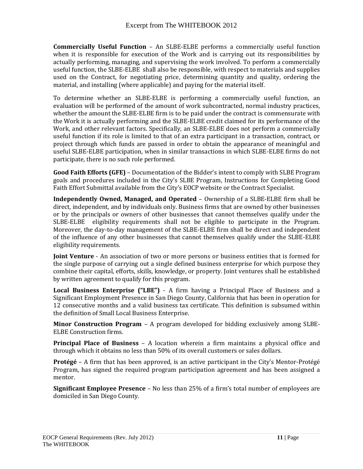**Commercially Useful Function** – An SLBE-ELBE performs a commercially useful function when it is responsible for execution of the Work and is carrying out its responsibilities by actually performing, managing, and supervising the work involved. To perform a commercially useful function, the SLBE-ELBE shall also be responsible, with respect to materials and supplies used on the Contract, for negotiating price, determining quantity and quality, ordering the material, and installing (where applicable) and paying for the material itself.

To determine whether an SLBE-ELBE is performing a commercially useful function, an evaluation will be performed of the amount of work subcontracted, normal industry practices, whether the amount the SLBE-ELBE firm is to be paid under the contract is commensurate with the Work it is actually performing and the SLBE-ELBE credit claimed for its performance of the Work, and other relevant factors. Specifically, an SLBE-ELBE does not perform a commercially useful function if its role is limited to that of an extra participant in a transaction, contract, or project through which funds are passed in order to obtain the appearance of meaningful and useful SLBE-ELBE participation, when in similar transactions in which SLBE-ELBE firms do not participate, there is no such role performed.

**Good Faith Efforts (GFE)** – Documentation of the Bidder's intent to comply with SLBE Program goals and procedures included in the City's SLBE Program, Instructions for Completing Good Faith Effort Submittal available from the City's EOCP website or the Contract Specialist.

**Independently Owned, Managed, and Operated** – Ownership of a SLBE-ELBE firm shall be direct, independent, and by individuals only. Business firms that are owned by other businesses or by the principals or owners of other businesses that cannot themselves qualify under the SLBE-ELBE eligibility requirements shall not be eligible to participate in the Program. Moreover, the day-to-day management of the SLBE-ELBE firm shall be direct and independent of the influence of any other businesses that cannot themselves qualify under the SLBE-ELBE eligibility requirements.

**Joint Venture** - An association of two or more persons or business entities that is formed for the single purpose of carrying out a single defined business enterprise for which purpose they combine their capital, efforts, skills, knowledge, or property. Joint ventures shall be established by written agreement to qualify for this program.

**Local Business Enterprise ("LBE")** - A firm having a Principal Place of Business and a Significant Employment Presence in San Diego County, California that has been in operation for 12 consecutive months and a valid business tax certificate. This definition is subsumed within the definition of Small Local Business Enterprise.

**Minor Construction Program** – A program developed for bidding exclusively among SLBE-ELBE Construction firms.

**Principal Place of Business** – A location wherein a firm maintains a physical office and through which it obtains no less than 50% of its overall customers or sales dollars.

**Protégé** – A firm that has been approved, is an active participant in the City's Mentor-Protégé Program, has signed the required program participation agreement and has been assigned a mentor.

**Significant Employee Presence** – No less than 25% of a firm's total number of employees are domiciled in San Diego County.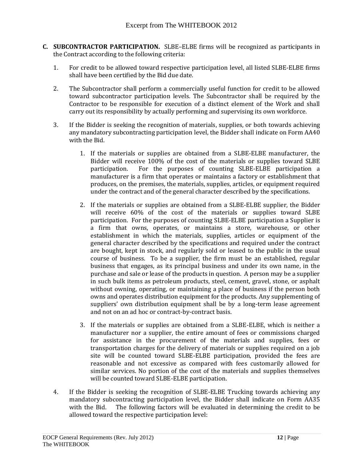- **C. SUBCONTRACTOR PARTICIPATION.** SLBE–ELBE firms will be recognized as participants in the Contract according to the following criteria:
	- 1. For credit to be allowed toward respective participation level, all listed SLBE-ELBE firms shall have been certified by the Bid due date.
	- 2. The Subcontractor shall perform a commercially useful function for credit to be allowed toward subcontractor participation levels. The Subcontractor shall be required by the Contractor to be responsible for execution of a distinct element of the Work and shall carry out its responsibility by actually performing and supervising its own workforce.
	- 3. If the Bidder is seeking the recognition of materials, supplies, or both towards achieving any mandatory subcontracting participation level, the Bidder shall indicate on Form AA40 with the Bid.
		- 1. If the materials or supplies are obtained from a SLBE-ELBE manufacturer, the Bidder will receive 100% of the cost of the materials or supplies toward SLBE participation. For the purposes of counting SLBE-ELBE participation a manufacturer is a firm that operates or maintains a factory or establishment that produces, on the premises, the materials, supplies, articles, or equipment required under the contract and of the general character described by the specifications.
		- 2. If the materials or supplies are obtained from a SLBE-ELBE supplier, the Bidder will receive 60% of the cost of the materials or supplies toward SLBE participation. For the purposes of counting SLBE-ELBE participation a Supplier is a firm that owns, operates, or maintains a store, warehouse, or other establishment in which the materials, supplies, articles or equipment of the general character described by the specifications and required under the contract are bought, kept in stock, and regularly sold or leased to the public in the usual course of business. To be a supplier, the firm must be an established, regular business that engages, as its principal business and under its own name, in the purchase and sale or lease of the products in question. A person may be a supplier in such bulk items as petroleum products, steel, cement, gravel, stone, or asphalt without owning, operating, or maintaining a place of business if the person both owns and operates distribution equipment for the products. Any supplementing of suppliers' own distribution equipment shall be by a long-term lease agreement and not on an ad hoc or contract-by-contract basis.
		- 3. If the materials or supplies are obtained from a SLBE-ELBE, which is neither a manufacturer nor a supplier, the entire amount of fees or commissions charged for assistance in the procurement of the materials and supplies, fees or transportation charges for the delivery of materials or supplies required on a job site will be counted toward SLBE-ELBE participation, provided the fees are reasonable and not excessive as compared with fees customarily allowed for similar services. No portion of the cost of the materials and supplies themselves will be counted toward SLBE-ELBE participation.
	- 4. If the Bidder is seeking the recognition of SLBE-ELBE Trucking towards achieving any mandatory subcontracting participation level, the Bidder shall indicate on Form AA35 with the Bid. The following factors will be evaluated in determining the credit to be allowed toward the respective participation level: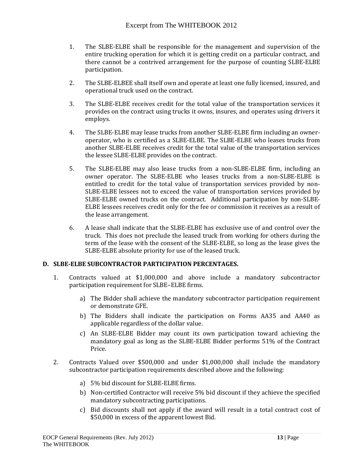- 1. The SLBE-ELBE shall be responsible for the management and supervision of the entire trucking operation for which it is getting credit on a particular contract, and there cannot be a contrived arrangement for the purpose of counting SLBE-ELBE participation.
- 2. The SLBE-ELBEE shall itself own and operate at least one fully licensed, insured, and operational truck used on the contract.
- 3. The SLBE-ELBE receives credit for the total value of the transportation services it provides on the contract using trucks it owns, insures, and operates using drivers it employs.
- 4. The SLBE-ELBE may lease trucks from another SLBE-ELBE firm including an owneroperator, who is certified as a SLBE-ELBE. The SLBE-ELBE who leases trucks from another SLBE-ELBE receives credit for the total value of the transportation services the lessee SLBE-ELBE provides on the contract.
- 5. The SLBE-ELBE may also lease trucks from a non-SLBE-ELBE firm, including an owner operator. The SLBE-ELBE who leases trucks from a non-SLBE-ELBE is entitled to credit for the total value of transportation services provided by non-SLBE-ELBE lessees not to exceed the value of transportation services provided by SLBE-ELBE owned trucks on the contract. Additional participation by non-SLBE-ELBE lessees receives credit only for the fee or commission it receives as a result of the lease arrangement.
- 6. A lease shall indicate that the SLBE-ELBE has exclusive use of and control over the truck. This does not preclude the leased truck from working for others during the term of the lease with the consent of the SLBE-ELBE, so long as the lease gives the SLBE-ELBE absolute priority for use of the leased truck.

# **D. SLBE-ELBE SUBCONTRACTOR PARTICIPATION PERCENTAGES.**

- 1. Contracts valued at \$1,000,000 and above include a mandatory subcontractor participation requirement for SLBE–ELBE firms.
	- a) The Bidder shall achieve the mandatory subcontractor participation requirement or demonstrate GFE.
	- b) The Bidders shall indicate the participation on Forms AA35 and AA40 as applicable regardless of the dollar value.
	- c) An SLBE-ELBE Bidder may count its own participation toward achieving the mandatory goal as long as the SLBE-ELBE Bidder performs 51% of the Contract Price.
- 2. Contracts Valued over \$500,000 and under \$1,000,000 shall include the mandatory subcontractor participation requirements described above and the following:
	- a) 5% bid discount for SLBE-ELBE firms.
	- b) Non-certified Contractor will receive 5% bid discount if they achieve the specified mandatory subcontracting participations.
	- c) Bid discounts shall not apply if the award will result in a total contract cost of \$50,000 in excess of the apparent lowest Bid.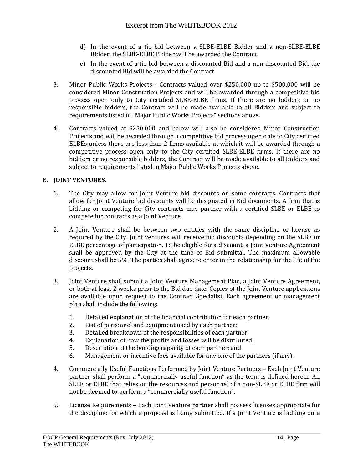- d) In the event of a tie bid between a SLBE-ELBE Bidder and a non-SLBE-ELBE Bidder, the SLBE-ELBE Bidder will be awarded the Contract.
- e) In the event of a tie bid between a discounted Bid and a non-discounted Bid, the discounted Bid will be awarded the Contract.
- 3. Minor Public Works Projects Contracts valued over \$250,000 up to \$500,000 will be considered Minor Construction Projects and will be awarded through a competitive bid process open only to City certified SLBE-ELBE firms. If there are no bidders or no responsible bidders, the Contract will be made available to all Bidders and subject to requirements listed in "Major Public Works Projects" sections above.
- 4. Contracts valued at \$250,000 and below will also be considered Minor Construction Projects and will be awarded through a competitive bid process open only to City certified ELBEs unless there are less than 2 firms available at which it will be awarded through a competitive process open only to the City certified SLBE-ELBE firms. If there are no bidders or no responsible bidders, the Contract will be made available to all Bidders and subject to requirements listed in Major Public Works Projects above.

# **E. JOINT VENTURES.**

- 1. The City may allow for Joint Venture bid discounts on some contracts. Contracts that allow for Joint Venture bid discounts will be designated in Bid documents. A firm that is bidding or competing for City contracts may partner with a certified SLBE or ELBE to compete for contracts as a Joint Venture.
- 2. A Joint Venture shall be between two entities with the same discipline or license as required by the City. Joint ventures will receive bid discounts depending on the SLBE or ELBE percentage of participation. To be eligible for a discount, a Joint Venture Agreement shall be approved by the City at the time of Bid submittal. The maximum allowable discount shall be 5%. The parties shall agree to enter in the relationship for the life of the projects.
- 3. Joint Venture shall submit a Joint Venture Management Plan, a Joint Venture Agreement, or both at least 2 weeks prior to the Bid due date. Copies of the Joint Venture applications are available upon request to the Contract Specialist. Each agreement or management plan shall include the following:
	- 1. Detailed explanation of the financial contribution for each partner;
	- 2. List of personnel and equipment used by each partner;
	- 3. Detailed breakdown of the responsibilities of each partner;
	- 4. Explanation of how the profits and losses will be distributed;
	- 5. Description of the bonding capacity of each partner; and
	- 6. Management or incentive fees available for any one of the partners (if any).
- 4. Commercially Useful Functions Performed by Joint Venture Partners Each Joint Venture partner shall perform a "commercially useful function" as the term is defined herein. An SLBE or ELBE that relies on the resources and personnel of a non-SLBE or ELBE firm will not be deemed to perform a "commercially useful function".
- 5. License Requirements Each Joint Venture partner shall possess licenses appropriate for the discipline for which a proposal is being submitted. If a Joint Venture is bidding on a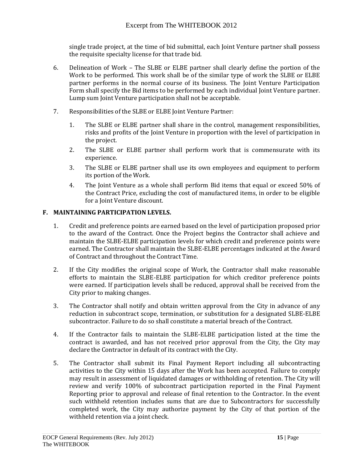single trade project, at the time of bid submittal, each Joint Venture partner shall possess the requisite specialty license for that trade bid.

- 6. Delineation of Work The SLBE or ELBE partner shall clearly define the portion of the Work to be performed. This work shall be of the similar type of work the SLBE or ELBE partner performs in the normal course of its business. The Joint Venture Participation Form shall specify the Bid items to be performed by each individual Joint Venture partner. Lump sum Joint Venture participation shall not be acceptable.
- 7. Responsibilities of the SLBE or ELBE Joint Venture Partner:
	- 1. The SLBE or ELBE partner shall share in the control, management responsibilities, risks and profits of the Joint Venture in proportion with the level of participation in the project.
	- 2. The SLBE or ELBE partner shall perform work that is commensurate with its experience.
	- 3. The SLBE or ELBE partner shall use its own employees and equipment to perform its portion of the Work.
	- 4. The Joint Venture as a whole shall perform Bid items that equal or exceed 50% of the Contract Price, excluding the cost of manufactured items, in order to be eligible for a Joint Venture discount.

# **F. MAINTAINING PARTICIPATION LEVELS.**

- 1. Credit and preference points are earned based on the level of participation proposed prior to the award of the Contract. Once the Project begins the Contractor shall achieve and maintain the SLBE-ELBE participation levels for which credit and preference points were earned. The Contractor shall maintain the SLBE-ELBE percentages indicated at the Award of Contract and throughout the Contract Time.
- 2. If the City modifies the original scope of Work, the Contractor shall make reasonable efforts to maintain the SLBE-ELBE participation for which creditor preference points were earned. If participation levels shall be reduced, approval shall be received from the City prior to making changes.
- 3. The Contractor shall notify and obtain written approval from the City in advance of any reduction in subcontract scope, termination, or substitution for a designated SLBE-ELBE subcontractor. Failure to do so shall constitute a material breach of the Contract.
- 4. If the Contractor fails to maintain the SLBE-ELBE participation listed at the time the contract is awarded, and has not received prior approval from the City, the City may declare the Contractor in default of its contract with the City.
- 5. The Contractor shall submit its Final Payment Report including all subcontracting activities to the City within 15 days after the Work has been accepted. Failure to comply may result in assessment of liquidated damages or withholding of retention. The City will review and verify 100% of subcontract participation reported in the Final Payment Reporting prior to approval and release of final retention to the Contractor. In the event such withheld retention includes sums that are due to Subcontractors for successfully completed work, the City may authorize payment by the City of that portion of the withheld retention via a joint check.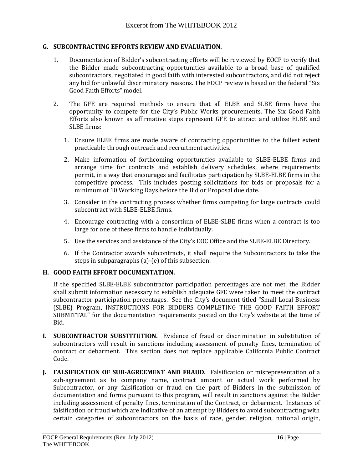#### **G. SUBCONTRACTING EFFORTS REVIEW AND EVALUATION.**

- 1. Documentation of Bidder's subcontracting efforts will be reviewed by EOCP to verify that the Bidder made subcontracting opportunities available to a broad base of qualified subcontractors, negotiated in good faith with interested subcontractors, and did not reject any bid for unlawful discriminatory reasons. The EOCP review is based on the federal "Six Good Faith Efforts" model.
- 2. The GFE are required methods to ensure that all ELBE and SLBE firms have the opportunity to compete for the City's Public Works procurements. The Six Good Faith Efforts also known as affirmative steps represent GFE to attract and utilize ELBE and SLBE firms:
	- 1. Ensure ELBE firms are made aware of contracting opportunities to the fullest extent practicable through outreach and recruitment activities.
	- 2. Make information of forthcoming opportunities available to SLBE-ELBE firms and arrange time for contracts and establish delivery schedules, where requirements permit, in a way that encourages and facilitates participation by SLBE-ELBE firms in the competitive process. This includes posting solicitations for bids or proposals for a minimum of 10 Working Days before the Bid or Proposal due date.
	- 3. Consider in the contracting process whether firms competing for large contracts could subcontract with SLBE-ELBE firms.
	- 4. Encourage contracting with a consortium of ELBE-SLBE firms when a contract is too large for one of these firms to handle individually.
	- 5. Use the services and assistance of the City's EOC Office and the SLBE-ELBE Directory.
	- 6. If the Contractor awards subcontracts, it shall require the Subcontractors to take the steps in subparagraphs (a)-(e) of this subsection.

# **H. GOOD FAITH EFFORT DOCUMENTATION.**

If the specified SLBE-ELBE subcontractor participation percentages are not met, the Bidder shall submit information necessary to establish adequate GFE were taken to meet the contract subcontractor participation percentages. See the City's document titled "Small Local Business (SLBE) Program, INSTRUCTIONS FOR BIDDERS COMPLETING THE GOOD FAITH EFFORT SUBMITTAL" for the documentation requirements posted on the City's website at the time of Bid.

- **I. SUBCONTRACTOR SUBSTITUTION.** Evidence of fraud or discrimination in substitution of subcontractors will result in sanctions including assessment of penalty fines, termination of contract or debarment. This section does not replace applicable California Public Contract Code.
- **J. FALSIFICATION OF SUB-AGREEMENT AND FRAUD.** Falsification or misrepresentation of a sub-agreement as to company name, contract amount or actual work performed by Subcontractor, or any falsification or fraud on the part of Bidders in the submission of documentation and forms pursuant to this program, will result in sanctions against the Bidder including assessment of penalty fines, termination of the Contract, or debarment. Instances of falsification or fraud which are indicative of an attempt by Bidders to avoid subcontracting with certain categories of subcontractors on the basis of race, gender, religion, national origin,